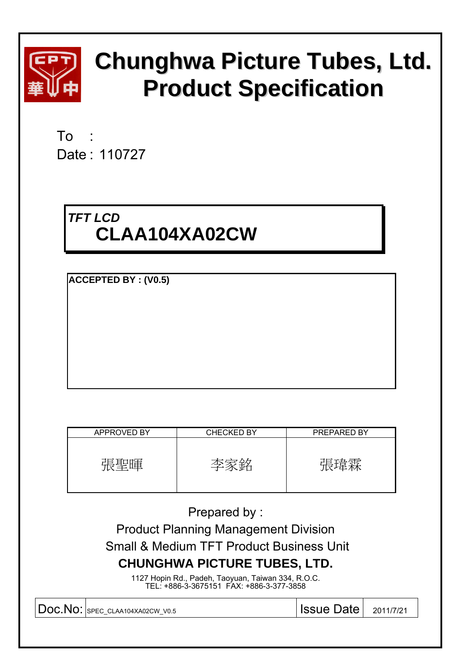

# **Chunghwa Picture Tubes, Ltd. Product Specification**

To : Date : 110727

## *TFT LCD*  **CLAA104XA02CW**

**ACCEPTED BY : (V0.5)**

| APPROVED BY | <b>CHECKED BY</b> | PREPARED BY |
|-------------|-------------------|-------------|
| 張聖暉         | 全                 | 特拼委         |

Prepared by :

Product Planning Management Division

Small & Medium TFT Product Business Unit

### **CHUNGHWA PICTURE TUBES, LTD.**

1127 Hopin Rd., Padeh, Taoyuan, Taiwan 334, R.O.C. TEL: +886-3-3675151 FAX: +886-3-377-3858

Doc.No: SPEC\_CLAA104XA02CW\_V0.5 | ISSUe Date | 2011/7/21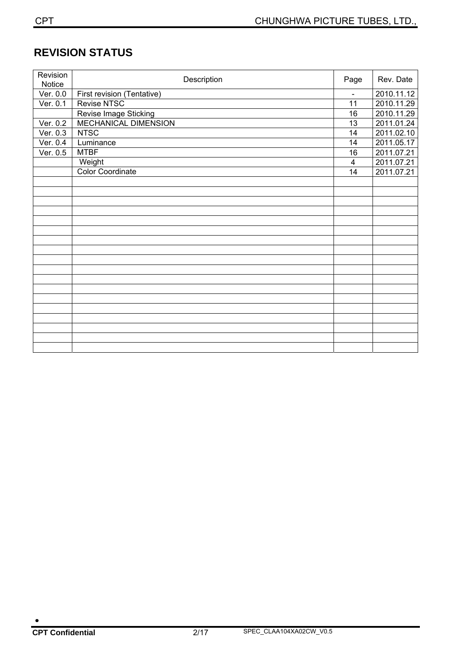### **REVISION STATUS**

| Revision<br>Notice | Description                | Page           | Rev. Date  |
|--------------------|----------------------------|----------------|------------|
| Ver. 0.0           | First revision (Tentative) | $\blacksquare$ | 2010.11.12 |
| Ver. 0.1           | Revise NTSC                | 11             | 2010.11.29 |
|                    | Revise Image Sticking      | 16             | 2010.11.29 |
| Ver. 0.2           | MECHANICAL DIMENSION       | 13             | 2011.01.24 |
| Ver. 0.3           | <b>NTSC</b>                | 14             | 2011.02.10 |
| Ver. 0.4           | Luminance                  | 14             | 2011.05.17 |
| Ver. 0.5           | <b>MTBF</b>                | 16             | 2011.07.21 |
|                    | Weight                     | 4              | 2011.07.21 |
|                    | <b>Color Coordinate</b>    | 14             | 2011.07.21 |
|                    |                            |                |            |
|                    |                            |                |            |
|                    |                            |                |            |
|                    |                            |                |            |
|                    |                            |                |            |
|                    |                            |                |            |
|                    |                            |                |            |
|                    |                            |                |            |
|                    |                            |                |            |
|                    |                            |                |            |
|                    |                            |                |            |
|                    |                            |                |            |
|                    |                            |                |            |
|                    |                            |                |            |
|                    |                            |                |            |
|                    |                            |                |            |
|                    |                            |                |            |
|                    |                            |                |            |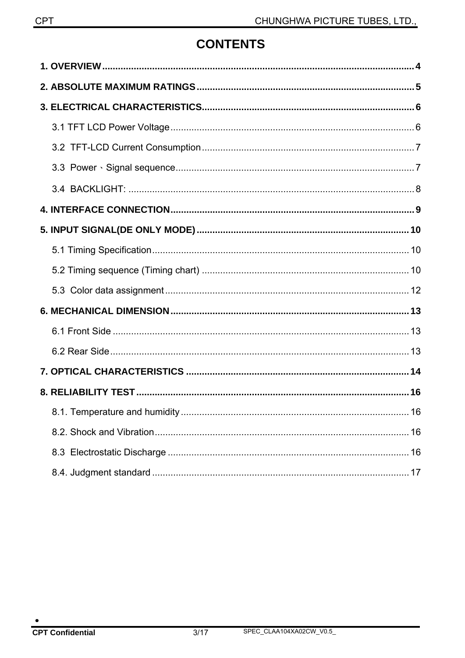### **CONTENTS**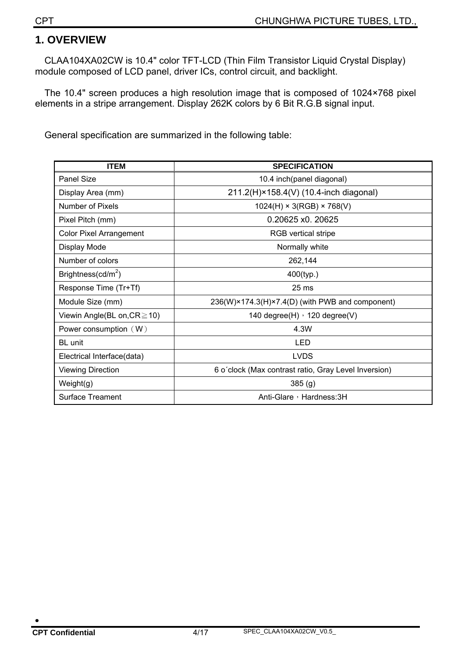#### **1. OVERVIEW**

CLAA104XA02CW is 10.4" color TFT-LCD (Thin Film Transistor Liquid Crystal Display) module composed of LCD panel, driver ICs, control circuit, and backlight.

The 10.4" screen produces a high resolution image that is composed of 1024×768 pixel elements in a stripe arrangement. Display 262K colors by 6 Bit R.G.B signal input.

General specification are summarized in the following table:

| <b>ITEM</b>                       | <b>SPECIFICATION</b>                                 |
|-----------------------------------|------------------------------------------------------|
| <b>Panel Size</b>                 | 10.4 inch(panel diagonal)                            |
| Display Area (mm)                 | 211.2(H)×158.4(V) (10.4-inch diagonal)               |
| Number of Pixels                  | $1024(H) \times 3(RGB) \times 768(V)$                |
| Pixel Pitch (mm)                  | 0.20625 x0. 20625                                    |
| <b>Color Pixel Arrangement</b>    | <b>RGB</b> vertical stripe                           |
| Display Mode                      | Normally white                                       |
| Number of colors                  | 262,144                                              |
| Brightness( $cd/m2$ )             | 400(typ.)                                            |
| Response Time (Tr+Tf)             | 25 <sub>ms</sub>                                     |
| Module Size (mm)                  | 236(W)×174.3(H)×7.4(D) (with PWB and component)      |
| Viewin Angle(BL on, $CR \ge 10$ ) | 140 degree $(H)$ , 120 degree $(V)$                  |
| Power consumption $(W)$           | 4.3W                                                 |
| BL unit                           | LED                                                  |
| Electrical Interface(data)        | <b>LVDS</b>                                          |
| <b>Viewing Direction</b>          | 6 o'clock (Max contrast ratio, Gray Level Inversion) |
| Weight(g)                         | 385(g)                                               |
| <b>Surface Treament</b>           | Anti-Glare, Hardness: 3H                             |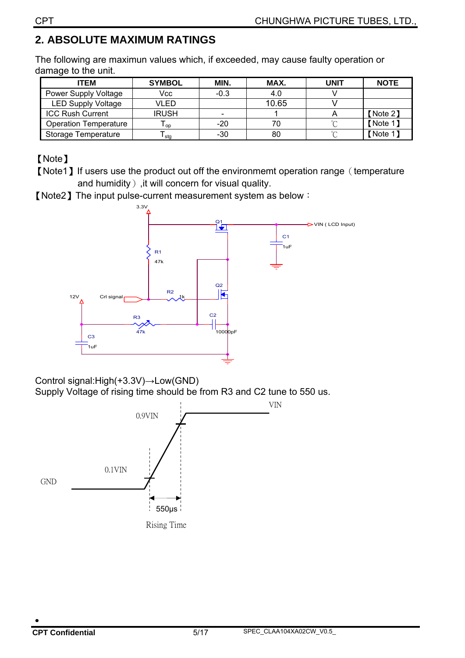### **2. ABSOLUTE MAXIMUM RATINGS**

The following are maximun values which, if exceeded, may cause faulty operation or damage to the unit.

| <b>ITEM</b>                  | <b>SYMBOL</b> | MIN.   | MAX.  | UNIT   | <b>NOTE</b> |
|------------------------------|---------------|--------|-------|--------|-------------|
| <b>Power Supply Voltage</b>  | Vcc           | $-0.3$ | 4.0   |        |             |
| <b>LED Supply Voltage</b>    | VLED          |        | 10.65 |        |             |
| <b>ICC Rush Current</b>      | <b>IRUSH</b>  |        |       |        | [Note 2]    |
| <b>Operation Temperature</b> | <b>OD</b>     | -20    | 70    |        | [Note 1]    |
| <b>Storage Temperature</b>   | sta           | -30    | 80    | $\sim$ | [Note 1]    |

【Note】

【Note1】If users use the product out off the environmemt operation range(temperature and humidity), it will concern for visual quality.

【Note2】The input pulse-current measurement system as below:



Control signal:High(+3.3V)→Low(GND)

Supply Voltage of rising time should be from R3 and C2 tune to 550 us.

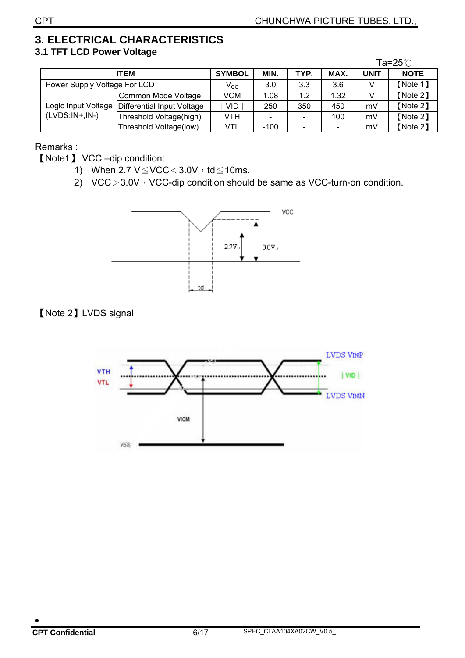#### **3. ELECTRICAL CHARACTERISTICS 3.1 TFT LCD Power Voltage**

|                              |                            |               |                              |                          |      |             | Ta=25 $°C$  |
|------------------------------|----------------------------|---------------|------------------------------|--------------------------|------|-------------|-------------|
|                              | <b>ITEM</b>                | <b>SYMBOL</b> | MIN.                         | TYP.                     | MAX. | <b>UNIT</b> | <b>NOTE</b> |
| Power Supply Voltage For LCD |                            | $V_{\rm CC}$  | 3.0                          | 3.3                      | 3.6  |             | [Note 1]    |
|                              | Common Mode Voltage        | VCM           | 1.08                         | 1.2                      | 1.32 |             | [Note 2]    |
| Logic Input Voltage          | Differential Input Voltage | VID.          | 250                          | 350                      | 450  | mV          | [Note 2]    |
| $(LVDS:IN+.IN-)$             | Threshold Voltage(high)    | VTH           | $\qquad \qquad \blacksquare$ | $\overline{\phantom{a}}$ | 100  | mV          | [Note 2]    |
|                              | Threshold Voltage(low)     | VTL           | $-100$                       | $\overline{\phantom{0}}$ |      | mV          | [Note 2]    |

Remarks :

【Note1】 VCC –dip condition:

- 1) When  $2.7 \text{ V} \leq \text{VCC} < 3.0 \text{ V} \cdot \text{td} \leq 10 \text{ms}.$
- 2)  $VCC > 3.0V$ , VCC-dip condition should be same as VCC-turn-on condition.



#### 【Note 2】LVDS signal

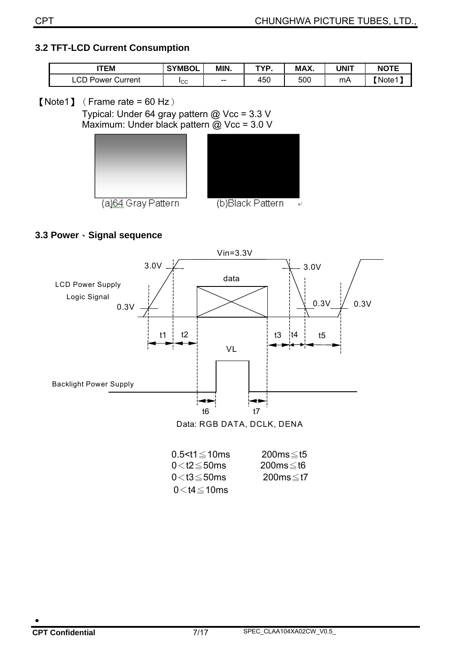#### **3.2 TFT-LCD Current Consumption**

| <b>ITEM</b>                          | <b>SYMBOL</b> | MIN.  | TVN | MAX. | <b>JNIT</b> | <b>NOTF</b> |  |
|--------------------------------------|---------------|-------|-----|------|-------------|-------------|--|
| $\cap$<br>. Power '<br>Current<br>ا. | Iсс           | $- -$ | 450 | 500  | mA          | Note1       |  |

#### $[Note1]$  (Frame rate = 60 Hz)

Typical: Under 64 gray pattern @ Vcc = 3.3 V Maximum: Under black pattern @ Vcc = 3.0 V





#### **3.3 Power**、**Signal sequence**



| $0.5 < t1 \leq 10$ ms | $200ms \leq t5$ |
|-----------------------|-----------------|
| $0<$ t2 $\leq$ 50ms   | 200ms≤t6        |
| $0<$ t $3\leq$ 50ms   | 200ms≤t7        |
| $0 < t$ 4 $\leq$ 10ms |                 |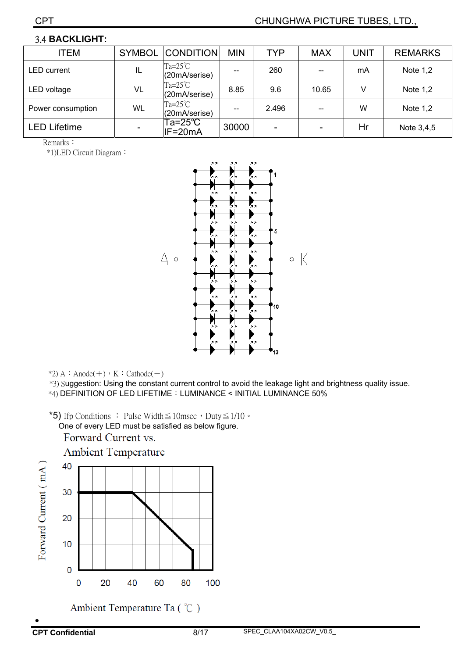#### 3.4 **BACKLIGHT:**

| <b>ITEM</b>         | <b>SYMBOL</b> | <b>CONDITION</b>                  | <b>MIN</b> | TYP   | <b>MAX</b> | UNIT | <b>REMARKS</b> |
|---------------------|---------------|-----------------------------------|------------|-------|------------|------|----------------|
| <b>LED</b> current  | IL            | $Ta=25^{\circ}C$<br>(20mA/serise) |            | 260   |            | mA   | Note 1,2       |
| LED voltage         | VL            | $Ta=25^{\circ}C$<br>(20mA/serise) | 8.85       | 9.6   | 10.65      | V    | Note 1,2       |
| Power consumption   | WL            | $Ta=25^{\circ}C$<br>(20mA/serise) |            | 2.496 |            | W    | Note 1,2       |
| <b>LED Lifetime</b> |               | Ta=25°C $\,$<br>IF=20mA           | 30000      |       |            | Hr   | Note 3,4,5     |

Remarks:

\*1)LED Circuit Diagram:



 $*2$ ) A : Anode(+), K : Cathode(-)

\*3) Suggestion: Using the constant current control to avoid the leakage light and brightness quality issue.

\*4) DEFINITION OF LED LIFETIME:LUMINANCE < INITIAL LUMINANCE 50%

\*5) If p Conditions : Pulse Width  $\leq$  10msec, Duty  $\leq$  1/10  $\circ$ 

One of every LED must be satisfied as below figure.

Forward Current vs.

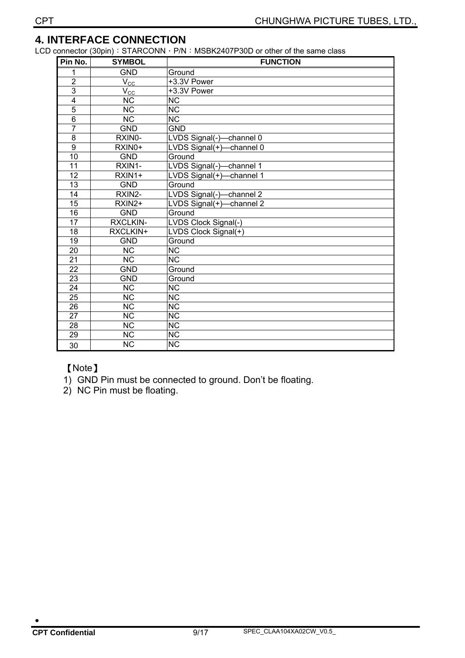#### **4. INTERFACE CONNECTION**

LCD connector (30pin): STARCONN, P/N: MSBK2407P30D or other of the same class

| Pin No.         | <b>SYMBOL</b>          | <b>FUNCTION</b>          |
|-----------------|------------------------|--------------------------|
| 1               | <b>GND</b>             | Ground                   |
| $\overline{2}$  | $V_{\rm CC}$           | +3.3V Power              |
| $\overline{3}$  | $V_{\rm CC}$           | +3.3V Power              |
| $\overline{4}$  | <b>NC</b>              | <b>NC</b>                |
| $\overline{5}$  | $\overline{\text{NC}}$ | $\overline{\text{NC}}$   |
| $\overline{6}$  | $\overline{\text{NC}}$ | $\overline{\text{NC}}$   |
| 7               | <b>GND</b>             | <b>GND</b>               |
| $\overline{8}$  | RXIN0-                 | LVDS Signal(-)-channel 0 |
| $\overline{9}$  | RXIN0+                 | LVDS Signal(+)-channel 0 |
| 10              | <b>GND</b>             | Ground                   |
| 11              | RXIN1-                 | LVDS Signal(-)-channel 1 |
| 12              | RXIN1+                 | LVDS Signal(+)-channel 1 |
| 13              | <b>GND</b>             | Ground                   |
| 14              | RXIN2-                 | LVDS Signal(-)-channel 2 |
| $\overline{15}$ | RXIN2+                 | LVDS Signal(+)-channel 2 |
| 16              | <b>GND</b>             | Ground                   |
| 17              | <b>RXCLKIN-</b>        | LVDS Clock Signal(-)     |
| 18              | RXCLKIN+               | LVDS Clock Signal(+)     |
| 19              | <b>GND</b>             | Ground                   |
| 20              | <b>NC</b>              | <b>NC</b>                |
| $\overline{21}$ | $\overline{\text{NC}}$ | $\overline{\text{NC}}$   |
| $\overline{22}$ | <b>GND</b>             | Ground                   |
| 23              | <b>GND</b>             | Ground                   |
| $\overline{24}$ | $\overline{\text{NC}}$ | $\overline{\text{NC}}$   |
| $\overline{25}$ | $\overline{\text{NC}}$ | $\overline{\text{NC}}$   |
| $\overline{26}$ | $\overline{\text{NC}}$ | $\overline{\text{NC}}$   |
| $\overline{27}$ | $\overline{\text{NC}}$ | $\overline{\text{NC}}$   |
| $\overline{28}$ | $\overline{\text{NC}}$ | $\overline{\text{NC}}$   |
| 29              | $\overline{\text{NC}}$ | $\overline{\text{NC}}$   |
| 30              | <b>NC</b>              | <b>NC</b>                |

#### 【Note】

- 1) GND Pin must be connected to ground. Don't be floating.
- 2) NC Pin must be floating.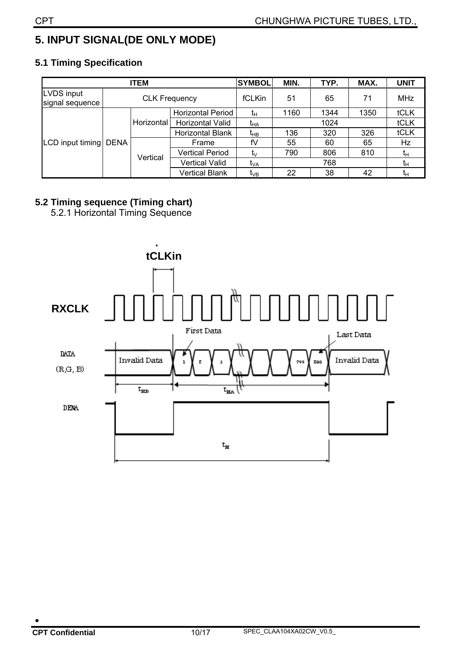### **5. INPUT SIGNAL(DE ONLY MODE)**

#### **ITEM** SYMBOL MIN. TYP. MAX. UNIT LVDS input LYDS input<br>signal sequence **CLK Frequency** | fCLKin | 51 | 65 | 71 | MHz Horizontal Period  $t_H$  | 1160 | 1344 | 1350 | tCLK Horizontal Horizontal Valid t<sub>HA</sub> 1024 tCLK<br>Horizontal Blank t<sub>HB</sub> 136 320 326 tCLK Horizontal Blank  $t_{\text{HB}}$  136 320 326 Frame |  $fV$  | 55 | 60 | 65 | Hz Vertical Period tV 790 806 810 tH Vertical Valid  $t_{VA}$  768  $t_H$ LCD input timing DENA Vertical Vertical Blank  $t_{VB}$  22 38 42  $t_{H}$

#### **5.1 Timing Specification**

#### **5.2 Timing sequence (Timing chart)**

5.2.1 Horizontal Timing Sequence

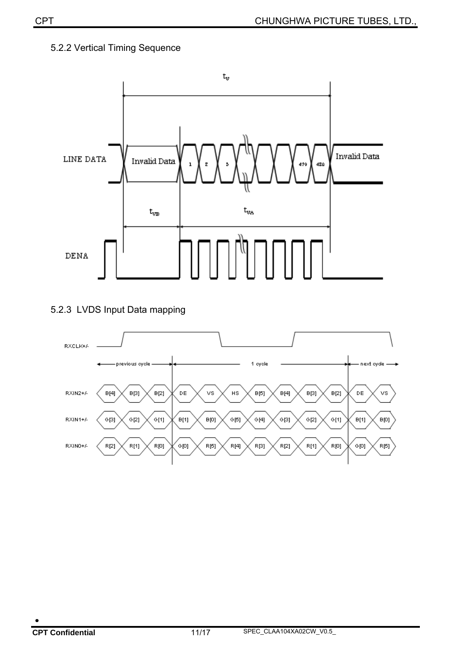#### 5.2.2 Vertical Timing Sequence

![](_page_10_Figure_2.jpeg)

#### 5.2.3 LVDS Input Data mapping

![](_page_10_Figure_4.jpeg)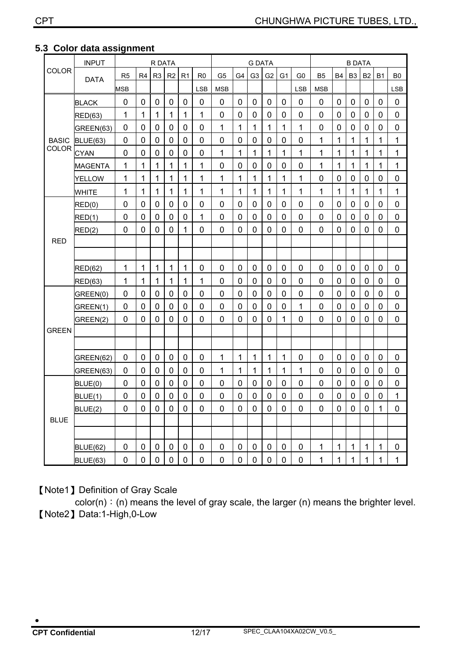|              | <b>INPUT</b>                                                                                                                                                            |             |             | R DATA           |                  |                  |                |             | <b>G DATA</b>  |                  |             |                  | <b>B DATA</b> |             |                |                |             |             |                |
|--------------|-------------------------------------------------------------------------------------------------------------------------------------------------------------------------|-------------|-------------|------------------|------------------|------------------|----------------|-------------|----------------|------------------|-------------|------------------|---------------|-------------|----------------|----------------|-------------|-------------|----------------|
| <b>COLOR</b> | G <sub>3</sub><br>R <sub>4</sub><br>R <sub>3</sub><br>R <sub>2</sub><br>R1<br>G <sub>5</sub><br>G4<br>G <sub>2</sub><br>R <sub>5</sub><br>R0<br>G1<br>G0<br><b>DATA</b> |             |             | B5               | <b>B4</b>        | B <sub>3</sub>   | <b>B2</b>      | <b>B1</b>   | B <sub>0</sub> |                  |             |                  |               |             |                |                |             |             |                |
|              |                                                                                                                                                                         | <b>MSB</b>  |             |                  |                  |                  | <b>LSB</b>     | <b>MSB</b>  |                |                  |             |                  | <b>LSB</b>    | <b>MSB</b>  |                |                |             |             | <b>LSB</b>     |
|              | <b>BLACK</b>                                                                                                                                                            | 0           | $\mathbf 0$ | 0                | 0                | 0                | 0              | 0           | 0              | 0                | 0           | 0                | 0             | 0           | $\mathbf 0$    | 0              | 0           | 0           | 0              |
|              | <b>RED(63)</b>                                                                                                                                                          | 1           | 1           | 1                | 1                | 1                | 1              | 0           | $\mathbf 0$    | $\mathbf 0$      | $\mathbf 0$ | $\mathbf 0$      | $\mathbf 0$   | 0           | $\overline{0}$ | $\mathbf 0$    | $\mathbf 0$ | 0           | 0              |
|              | GREEN(63)                                                                                                                                                               | 0           | 0           | $\mathbf 0$      | 0                | 0                | 0              | 1           | 1              | 1                | 1           | 1                | 1             | 0           | $\mathbf 0$    | 0              | 0           | 0           | 0              |
| <b>BASIC</b> | <b>BLUE(63)</b>                                                                                                                                                         | 0           | $\mathbf 0$ | $\mathbf 0$      | $\mathbf 0$      | 0                | 0              | 0           | 0              | $\mathbf 0$      | $\mathbf 0$ | 0                | 0             | 1           | 1              | $\mathbf 1$    | 1           | 1           | 1              |
| <b>COLOR</b> | <b>CYAN</b>                                                                                                                                                             | $\mathbf 0$ | $\mathbf 0$ | $\overline{0}$   | $\mathbf 0$      | $\mathbf 0$      | $\overline{0}$ | 1           | 1              | 1                | 1           | 1                | 1             | 1           | 1              | 1              | 1           | 1           | 1              |
|              | <b>MAGENTA</b>                                                                                                                                                          | 1           | 1           | 1                | 1                | 1                | 1              | 0           | $\mathbf 0$    | 0                | $\mathbf 0$ | 0                | 0             | 1           | 1              | $\mathbf 1$    | 1           | 1           | 1              |
|              | <b>YELLOW</b>                                                                                                                                                           | 1           | 1           | 1                | 1                | 1                | 1              | 1           | 1              | 1                | 1           | 1                | 1             | 0           | 0              | 0              | 0           | 0           | 0              |
|              | <b>WHITE</b>                                                                                                                                                            | 1           | 1           | 1                | 1                | 1                | 1              | 1           | 1              | 1                | 1           | 1                | 1             | 1           | 1              | 1              | 1           | 1           | 1              |
|              | RED(0)                                                                                                                                                                  | 0           | 0           | 0                | $\mathbf 0$      | $\mathbf 0$      | 0              | 0           | $\mathbf 0$    | $\mathbf 0$      | $\mathbf 0$ | 0                | 0             | 0           | 0              | $\overline{0}$ | 0           | 0           | $\overline{0}$ |
|              | RED(1)                                                                                                                                                                  | 0           | $\mathbf 0$ | 0                | $\mathbf 0$      | 0                | 1              | 0           | 0              | 0                | 0           | 0                | 0             | 0           | $\mathbf 0$    | 0              | 0           | 0           | 0              |
|              | RED(2)                                                                                                                                                                  | $\mathbf 0$ | 0           | 0                | $\mathbf 0$      | 1                | 0              | 0           | $\mathbf 0$    | 0                | 0           | 0                | 0             | 0           | 0              | 0              | 0           | 0           | 0              |
| <b>RED</b>   |                                                                                                                                                                         |             |             |                  |                  |                  |                |             |                |                  |             |                  |               |             |                |                |             |             |                |
|              |                                                                                                                                                                         |             |             |                  |                  |                  |                |             |                |                  |             |                  |               |             |                |                |             |             |                |
|              | <b>RED(62)</b>                                                                                                                                                          | 1           | 1           | 1                | 1                | $\mathbf 1$      | 0              | 0           | $\mathbf 0$    | 0                | $\mathbf 0$ | 0                | 0             | 0           | $\mathbf 0$    | $\mathbf 0$    | $\mathbf 0$ | 0           | $\mathbf 0$    |
|              | <b>RED(63)</b>                                                                                                                                                          | 1           | 1           | 1                | 1                | 1                | 1              | 0           | 0              | 0                | 0           | 0                | 0             | 0           | 0              | 0              | 0           | 0           | 0              |
|              | GREEN(0)                                                                                                                                                                | $\mathbf 0$ | $\mathbf 0$ | 0                | 0                | $\mathbf 0$      | $\mathbf 0$    | $\mathbf 0$ | $\mathbf 0$    | $\mathbf 0$      | $\mathbf 0$ | $\mathbf 0$      | $\mathbf 0$   | 0           | $\mathbf 0$    | $\mathbf 0$    | $\mathbf 0$ | $\mathbf 0$ | $\mathbf 0$    |
|              | GREEN(1)                                                                                                                                                                | 0           | $\mathbf 0$ | $\overline{0}$   | $\mathbf 0$      | $\mathbf 0$      | $\mathbf 0$    | 0           | $\mathbf 0$    | $\mathbf 0$      | $\mathbf 0$ | $\mathbf 0$      | 1             | 0           | $\mathbf 0$    | $\mathbf 0$    | 0           | 0           | 0              |
|              | GREEN(2)                                                                                                                                                                | 0           | 0           | 0                | $\mathbf 0$      | 0                | 0              | 0           | $\mathbf 0$    | 0                | 0           | 1                | 0             | 0           | 0              | 0              | 0           | 0           | 0              |
| <b>GREEN</b> |                                                                                                                                                                         |             |             |                  |                  |                  |                |             |                |                  |             |                  |               |             |                |                |             |             |                |
|              |                                                                                                                                                                         |             |             |                  |                  |                  |                |             |                |                  |             |                  |               |             |                |                |             |             |                |
|              | GREEN(62)                                                                                                                                                               | 0           | $\mathbf 0$ | 0                | 0                | 0                | 0              | 1           | 1              | 1                | 1           | 1                | 0             | 0           | $\mathbf 0$    | 0              | 0           | 0           | 0              |
|              | GREEN(63)                                                                                                                                                               | 0           | 0           | 0                | 0                | 0                | 0              | 1           | 1              | 1                | 1           | 1                | 1             | 0           | 0              | 0              | 0           | 0           | 0              |
|              | BLUE(0)                                                                                                                                                                 | 0           | $\mathbf 0$ | $\mathbf 0$      | 0                | $\mathbf 0$      | 0              | 0           | 0              | 0                | 0           | 0                | 0             | 0           | $\mathbf 0$    | 0              | 0           | 0           | 0              |
|              | BLUE(1)                                                                                                                                                                 | 0           | 0           | 0                | 0                | 0                | 0              | 0           | 0              | 0                | 0           | 0                | 0             | 0           | 0              | 0              | 0           | 0           | 1              |
|              | BLUE(2)                                                                                                                                                                 | $\pmb{0}$   | $\mathbf 0$ | $\mathbf 0$      | $\pmb{0}$        | $\pmb{0}$        | $\pmb{0}$      | $\pmb{0}$   | $\mathbf 0$    | $\mathbf 0$      | $\mathbf 0$ | $\pmb{0}$        | $\pmb{0}$     | $\pmb{0}$   | $\pmb{0}$      | $\mathbf 0$    | $\pmb{0}$   | $\mathbf 1$ | 0              |
| <b>BLUE</b>  |                                                                                                                                                                         |             |             |                  |                  |                  |                |             |                |                  |             |                  |               |             |                |                |             |             |                |
|              |                                                                                                                                                                         |             |             |                  |                  |                  |                |             |                |                  |             |                  |               |             |                |                |             |             |                |
|              | BLUE(62)                                                                                                                                                                | $\pmb{0}$   | $\pmb{0}$   | $\boldsymbol{0}$ | $\boldsymbol{0}$ | $\boldsymbol{0}$ | 0              | $\pmb{0}$   | $\pmb{0}$      | $\boldsymbol{0}$ | $\pmb{0}$   | $\boldsymbol{0}$ | 0             | $\mathbf 1$ | $\mathbf 1$    | $\mathbf 1$    | 1           | $\mathbf 1$ | 0              |
|              | BLUE(63)                                                                                                                                                                | $\pmb{0}$   | $\pmb{0}$   | $\pmb{0}$        | $\pmb{0}$        | $\pmb{0}$        | $\pmb{0}$      | $\pmb{0}$   | $\pmb{0}$      | $\pmb{0}$        | $\pmb{0}$   | $\mathbf 0$      | $\pmb{0}$     | 1           | 1              | 1              | 1           | 1           | 1              |

#### **5.3 Color data assignment**

【Note1】Definition of Gray Scale

 $\overline{\text{color}}(n)$ : (n) means the level of gray scale, the larger (n) means the brighter level. 【Note2】Data:1-High,0-Low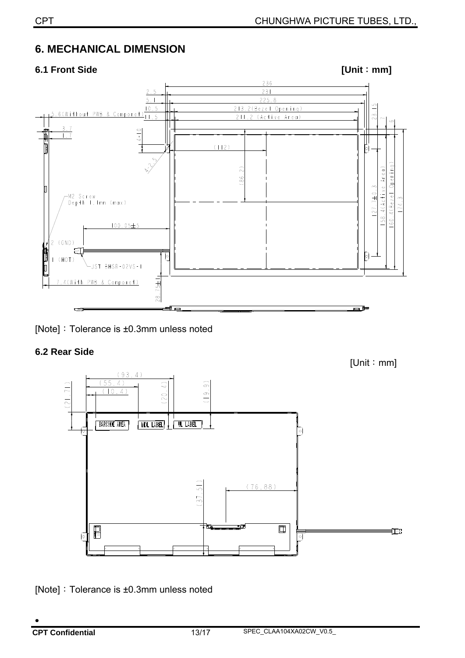### **6. MECHANICAL DIMENSION**

![](_page_12_Figure_3.jpeg)

[Note]: Tolerance is ±0.3mm unless noted

#### **6.2 Rear Side**

![](_page_12_Figure_6.jpeg)

[Note]:Tolerance is ±0.3mm unless noted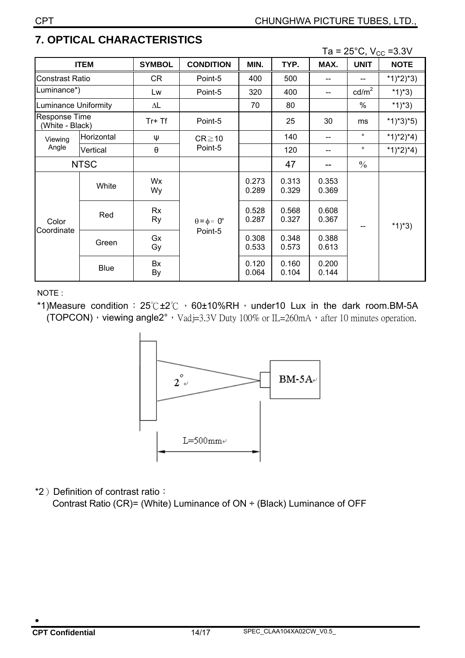|                                            |             |                 |                             |                |                |                |                 | Ta = $25^{\circ}$ C, V <sub>cc</sub> = 3.3V |
|--------------------------------------------|-------------|-----------------|-----------------------------|----------------|----------------|----------------|-----------------|---------------------------------------------|
|                                            | <b>ITEM</b> | <b>SYMBOL</b>   | <b>CONDITION</b>            | MIN.           | TYP.           | MAX.           | <b>UNIT</b>     | <b>NOTE</b>                                 |
| Constrast Ratio                            |             | CR              | Point-5                     | 400            | 500            |                |                 | *1)*2)*3)                                   |
| _uminance*)                                |             | Lw              | Point-5                     | 320            | 400            |                | $\text{cd/m}^2$ | *1)*3)                                      |
| uminance Uniformity                        |             | $\Delta L$      |                             | 70             | 80             |                | $\%$            | *1)*3)                                      |
| Response Time<br>(White - Black)           |             | $Tr+Tf$         | Point-5                     |                | 25             | 30             | ms              | $*1)*3*5)$                                  |
| Horizontal<br>Viewing<br>Angle<br>Vertical |             | Ψ               | $CR \ge 10$                 |                | 140            | --             | $\circ$         | $*1)*2)*4)$                                 |
|                                            |             | θ               | Point-5                     |                | 120            | --             | $\circ$         | *1)*2)*4)                                   |
|                                            | <b>NTSC</b> |                 |                             |                | 47             |                | $\frac{0}{0}$   |                                             |
|                                            | White       | Wx<br>Wy        |                             | 0.273<br>0.289 | 0.313<br>0.329 | 0.353<br>0.369 |                 |                                             |
| Color<br>Coordinate                        | Red         | Rx<br><b>Ry</b> | $\theta = \phi = 0^{\circ}$ | 0.528<br>0.287 | 0.568<br>0.327 | 0.608<br>0.367 |                 | *1)*3)                                      |
|                                            | Green       | Gx<br>Gy        | Point-5                     | 0.308<br>0.533 | 0.348<br>0.573 | 0.388<br>0.613 |                 |                                             |
|                                            | <b>Blue</b> | Bx<br>By        |                             | 0.120<br>0.064 | 0.160<br>0.104 | 0.200<br>0.144 |                 |                                             |

### **7. OPTICAL CHARACTERISTICS**

NOTE :

\*1)Measure condition:  $25^\circ$ C ±2 $^\circ$ C  $\cdot$  60±10%RH  $\cdot$  under10 Lux in the dark room.BM-5A (TOPCON), viewing angle2°, Vadj=3.3V Duty 100% or IL=260mA, after 10 minutes operation.

![](_page_13_Figure_7.jpeg)

\*2) Definition of contrast ratio:

Contrast Ratio (CR)= (White) Luminance of ON ÷ (Black) Luminance of OFF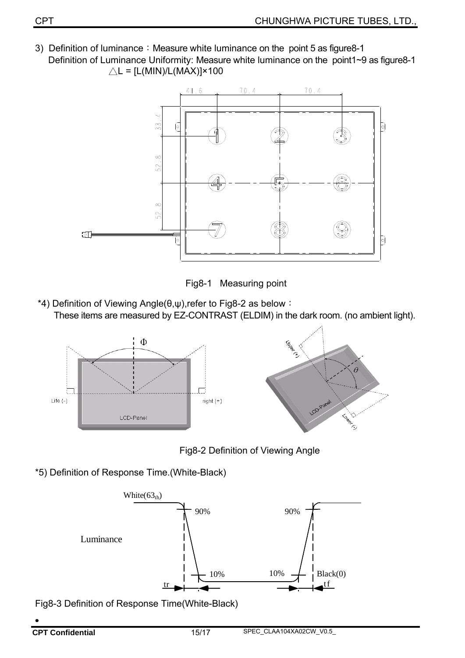3) Definition of luminance: Measure white luminance on the point 5 as figure8-1 Definition of Luminance Uniformity: Measure white luminance on the point1~9 as figure8-1  $\triangle L = [L(MIN)/L(MAX)] \times 100$ 

![](_page_14_Figure_2.jpeg)

![](_page_14_Figure_3.jpeg)

 \*4) Definition of Viewing Angle(θ,ψ),refer to Fig8-2 as below: These items are measured by EZ-CONTRAST (ELDIM) in the dark room. (no ambient light).

![](_page_14_Figure_5.jpeg)

Fig8-2 Definition of Viewing Angle

\*5) Definition of Response Time.(White-Black)

![](_page_14_Figure_8.jpeg)

Fig8-3 Definition of Response Time(White-Black)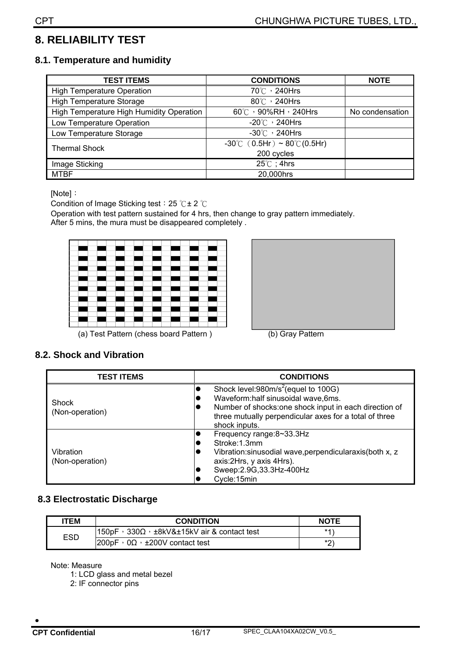### **8. RELIABILITY TEST**

#### **8.1. Temperature and humidity**

| TEST ITEMS                               | <b>CONDITIONS</b>                                 | <b>NOTE</b>     |
|------------------------------------------|---------------------------------------------------|-----------------|
| <b>High Temperature Operation</b>        | 70℃, 240Hrs                                       |                 |
| <b>High Temperature Storage</b>          | $80^{\circ}$ / 240Hrs                             |                 |
| High Temperature High Humidity Operation | 60°C , 90%RH , 240Hrs                             | No condensation |
| Low Temperature Operation                | $-20^{\circ}$ / 240Hrs                            |                 |
| Low Temperature Storage                  | $-30^{\circ}$ $\circ$ 240Hrs                      |                 |
| <b>Thermal Shock</b>                     | $-30^{\circ}$ C (0.5Hr) ~ 80 $^{\circ}$ C (0.5Hr) |                 |
|                                          | 200 cycles                                        |                 |
| Image Sticking                           | $25^{\circ}$ C; 4hrs                              |                 |
| <b>MTBF</b>                              | 20,000hrs                                         |                 |

[Note]:

Condition of Image Sticking test: 25 °C ± 2 °C

Operation with test pattern sustained for 4 hrs, then change to gray pattern immediately. After 5 mins, the mura must be disappeared completely .

![](_page_15_Picture_7.jpeg)

(a) Test Pattern (chess board Pattern ) (b) Gray Pattern

![](_page_15_Picture_9.jpeg)

#### **8.2. Shock and Vibration**

| <b>TEST ITEMS</b>            | <b>CONDITIONS</b>                                                                                                                                                                                                         |  |  |
|------------------------------|---------------------------------------------------------------------------------------------------------------------------------------------------------------------------------------------------------------------------|--|--|
| Shock<br>(Non-operation)     | Shock level:980m/s <sup>2</sup> (equel to 100G)<br>Waveform:half sinusoidal wave,6ms.<br>Number of shocks:one shock input in each direction of<br>three mutually perpendicular axes for a total of three<br>shock inputs. |  |  |
| Vibration<br>(Non-operation) | Frequency range:8~33.3Hz<br>Stroke: 1.3mm<br>Vibration: sinusodial wave, perpendicularaxis (both x, z<br>axis: 2Hrs, y axis 4Hrs).<br>Sweep: 2.9G, 33.3Hz-400Hz<br>Cycle:15min                                            |  |  |

#### **8.3 Electrostatic Discharge**

| <b>ITEM</b> | <b>CONDITION</b>                                                   | <b>NOTE</b> |
|-------------|--------------------------------------------------------------------|-------------|
| ESD         | $1150pF \cdot 330\Omega \cdot \pm 8kV&\pm 15kV$ air & contact test | $*1$        |
|             | $ 200pF \tcdot 0\Omega \tcdot \tpm 200V$ contact test              | *′ን<br>▃    |

Note: Measure

1: LCD glass and metal bezel

2: IF connector pins